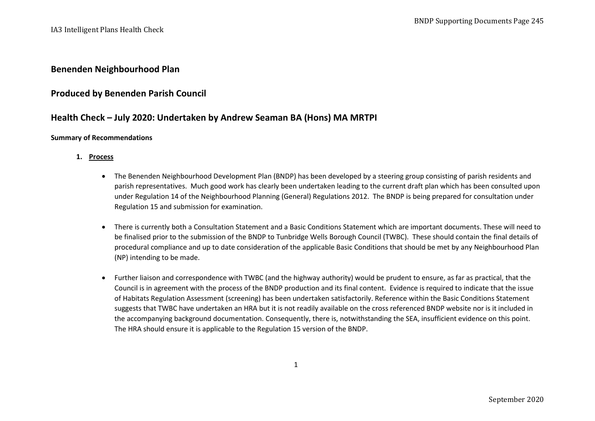## **Benenden Neighbourhood Plan**

## **Produced by Benenden Parish Council**

# **Health Check – July 2020: Undertaken by Andrew Seaman BA (Hons) MA MRTPI**

### **Summary of Recommendations**

## **1. Process**

- The Benenden Neighbourhood Development Plan (BNDP) has been developed by a steering group consisting of parish residents and parish representatives. Much good work has clearly been undertaken leading to the current draft plan which has been consulted upon under Regulation 14 of the Neighbourhood Planning (General) Regulations 2012. The BNDP is being prepared for consultation under Regulation 15 and submission for examination.
- There is currently both a Consultation Statement and a Basic Conditions Statement which are important documents. These will need to be finalised prior to the submission of the BNDP to Tunbridge Wells Borough Council (TWBC). These should contain the final details of procedural compliance and up to date consideration of the applicable Basic Conditions that should be met by any Neighbourhood Plan (NP) intending to be made.
- Further liaison and correspondence with TWBC (and the highway authority) would be prudent to ensure, as far as practical, that the Council is in agreement with the process of the BNDP production and its final content. Evidence is required to indicate that the issue of Habitats Regulation Assessment (screening) has been undertaken satisfactorily. Reference within the Basic Conditions Statement suggests that TWBC have undertaken an HRA but it is not readily available on the cross referenced BNDP website nor is it included in the accompanying background documentation. Consequently, there is, notwithstanding the SEA, insufficient evidence on this point. The HRA should ensure it is applicable to the Regulation 15 version of the BNDP.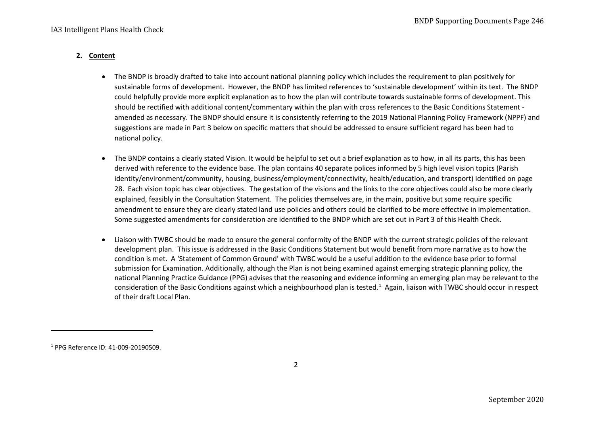## **2. Content**

- <span id="page-1-0"></span>• The BNDP is broadly drafted to take into account national planning policy which includes the requirement to plan positively for sustainable forms of development. However, the BNDP has limited references to 'sustainable development' within its text. The BNDP could helpfully provide more explicit explanation as to how the plan will contribute towards sustainable forms of development. This should be rectified with additional content/commentary within the plan with cross references to the Basic Conditions Statement amended as necessary. The BNDP should ensure it is consistently referring to the 2019 National Planning Policy Framework (NPPF) and suggestions are made in Part 3 below on specific matters that should be addressed to ensure sufficient regard has been had to national policy.
- The BNDP contains a clearly stated Vision. It would be helpful to set out a brief explanation as to how, in all its parts, this has been derived with reference to the evidence base. The plan contains 40 separate polices informed by 5 high level vision topics (Parish identity/environment/community, housing, business/employment/connectivity, health/education, and transport) identified on page 28. Each vision topic has clear objectives. The gestation of the visions and the links to the core objectives could also be more clearly explained, feasibly in the Consultation Statement. The policies themselves are, in the main, positive but some require specific amendment to ensure they are clearly stated land use policies and others could be clarified to be more effective in implementation. Some suggested amendments for consideration are identified to the BNDP which are set out in Part 3 of this Health Check.
- Liaison with TWBC should be made to ensure the general conformity of the BNDP with the current strategic policies of the relevant development plan. This issue is addressed in the Basic Conditions Statement but would benefit from more narrative as to how the condition is met. A 'Statement of Common Ground' with TWBC would be a useful addition to the evidence base prior to formal submission for Examination. Additionally, although the Plan is not being examined against emerging strategic planning policy, the national Planning Practice Guidance (PPG) advises that the reasoning and evidence informing an emerging plan may be relevant to the consideration of the Basic Conditions against which a neighbourhood plan is tested.<sup>[1](#page-1-0)</sup> Again, liaison with TWBC should occur in respect of their draft Local Plan.

<sup>1</sup> PPG Reference ID: 41-009-20190509.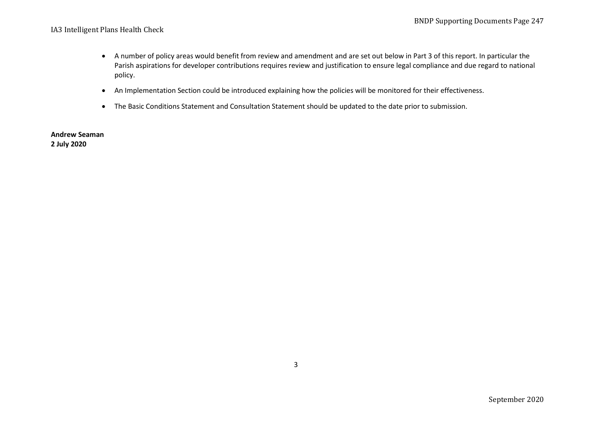- A number of policy areas would benefit from review and amendment and are set out below in Part 3 of this report. In particular the Parish aspirations for developer contributions requires review and justification to ensure legal compliance and due regard to national policy.
- An Implementation Section could be introduced explaining how the policies will be monitored for their effectiveness.
- The Basic Conditions Statement and Consultation Statement should be updated to the date prior to submission.

**Andrew Seaman 2 July 2020**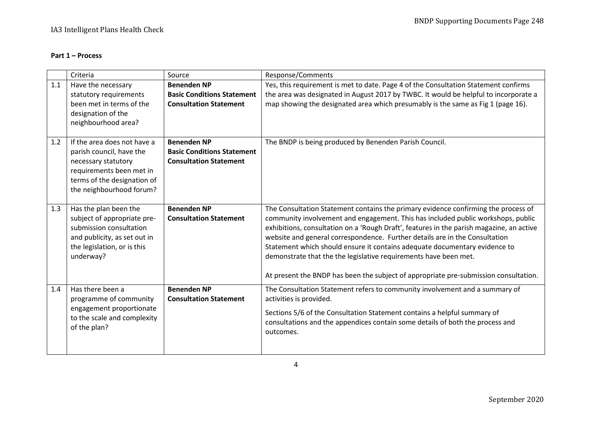## **Part 1 – Process**

|     | Criteria                                                                                                                                                              | Source                                                                                   | Response/Comments                                                                                                                                                                                                                                                                                                                                                                                                                                                                                                                                                                           |
|-----|-----------------------------------------------------------------------------------------------------------------------------------------------------------------------|------------------------------------------------------------------------------------------|---------------------------------------------------------------------------------------------------------------------------------------------------------------------------------------------------------------------------------------------------------------------------------------------------------------------------------------------------------------------------------------------------------------------------------------------------------------------------------------------------------------------------------------------------------------------------------------------|
| 1.1 | Have the necessary<br>statutory requirements<br>been met in terms of the<br>designation of the<br>neighbourhood area?                                                 | <b>Benenden NP</b><br><b>Basic Conditions Statement</b><br><b>Consultation Statement</b> | Yes, this requirement is met to date. Page 4 of the Consultation Statement confirms<br>the area was designated in August 2017 by TWBC. It would be helpful to incorporate a<br>map showing the designated area which presumably is the same as Fig 1 (page 16).                                                                                                                                                                                                                                                                                                                             |
| 1.2 | If the area does not have a<br>parish council, have the<br>necessary statutory<br>requirements been met in<br>terms of the designation of<br>the neighbourhood forum? | <b>Benenden NP</b><br><b>Basic Conditions Statement</b><br><b>Consultation Statement</b> | The BNDP is being produced by Benenden Parish Council.                                                                                                                                                                                                                                                                                                                                                                                                                                                                                                                                      |
| 1.3 | Has the plan been the<br>subject of appropriate pre-<br>submission consultation<br>and publicity, as set out in<br>the legislation, or is this<br>underway?           | <b>Benenden NP</b><br><b>Consultation Statement</b>                                      | The Consultation Statement contains the primary evidence confirming the process of<br>community involvement and engagement. This has included public workshops, public<br>exhibitions, consultation on a 'Rough Draft', features in the parish magazine, an active<br>website and general correspondence. Further details are in the Consultation<br>Statement which should ensure it contains adequate documentary evidence to<br>demonstrate that the the legislative requirements have been met.<br>At present the BNDP has been the subject of appropriate pre-submission consultation. |
| 1.4 | Has there been a<br>programme of community<br>engagement proportionate<br>to the scale and complexity<br>of the plan?                                                 | <b>Benenden NP</b><br><b>Consultation Statement</b>                                      | The Consultation Statement refers to community involvement and a summary of<br>activities is provided.<br>Sections 5/6 of the Consultation Statement contains a helpful summary of<br>consultations and the appendices contain some details of both the process and<br>outcomes.                                                                                                                                                                                                                                                                                                            |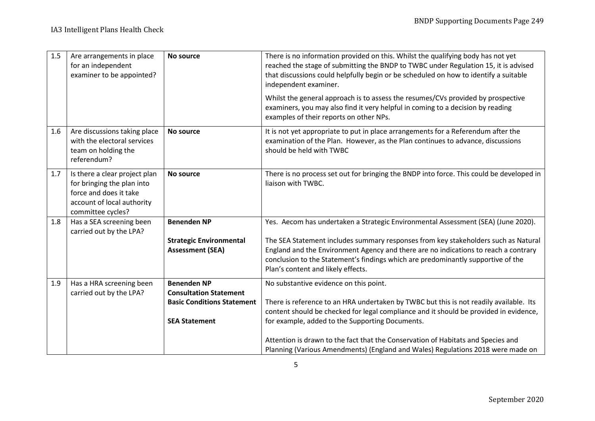| 1.5 | Are arrangements in place<br>for an independent<br>examiner to be appointed?                                                             | <b>No source</b>                                                                                                 | There is no information provided on this. Whilst the qualifying body has not yet<br>reached the stage of submitting the BNDP to TWBC under Regulation 15, it is advised<br>that discussions could helpfully begin or be scheduled on how to identify a suitable<br>independent examiner.<br>Whilst the general approach is to assess the resumes/CVs provided by prospective<br>examiners, you may also find it very helpful in coming to a decision by reading |
|-----|------------------------------------------------------------------------------------------------------------------------------------------|------------------------------------------------------------------------------------------------------------------|-----------------------------------------------------------------------------------------------------------------------------------------------------------------------------------------------------------------------------------------------------------------------------------------------------------------------------------------------------------------------------------------------------------------------------------------------------------------|
|     |                                                                                                                                          |                                                                                                                  | examples of their reports on other NPs.                                                                                                                                                                                                                                                                                                                                                                                                                         |
| 1.6 | Are discussions taking place<br>with the electoral services<br>team on holding the<br>referendum?                                        | No source                                                                                                        | It is not yet appropriate to put in place arrangements for a Referendum after the<br>examination of the Plan. However, as the Plan continues to advance, discussions<br>should be held with TWBC                                                                                                                                                                                                                                                                |
| 1.7 | Is there a clear project plan<br>for bringing the plan into<br>force and does it take<br>account of local authority<br>committee cycles? | No source                                                                                                        | There is no process set out for bringing the BNDP into force. This could be developed in<br>liaison with TWBC.                                                                                                                                                                                                                                                                                                                                                  |
| 1.8 | Has a SEA screening been<br>carried out by the LPA?                                                                                      | <b>Benenden NP</b>                                                                                               | Yes. Aecom has undertaken a Strategic Environmental Assessment (SEA) (June 2020).                                                                                                                                                                                                                                                                                                                                                                               |
|     |                                                                                                                                          | <b>Strategic Environmental</b><br><b>Assessment (SEA)</b>                                                        | The SEA Statement includes summary responses from key stakeholders such as Natural<br>England and the Environment Agency and there are no indications to reach a contrary<br>conclusion to the Statement's findings which are predominantly supportive of the<br>Plan's content and likely effects.                                                                                                                                                             |
| 1.9 | Has a HRA screening been<br>carried out by the LPA?                                                                                      | <b>Benenden NP</b><br><b>Consultation Statement</b><br><b>Basic Conditions Statement</b><br><b>SEA Statement</b> | No substantive evidence on this point.<br>There is reference to an HRA undertaken by TWBC but this is not readily available. Its<br>content should be checked for legal compliance and it should be provided in evidence,<br>for example, added to the Supporting Documents.                                                                                                                                                                                    |
|     |                                                                                                                                          |                                                                                                                  | Attention is drawn to the fact that the Conservation of Habitats and Species and<br>Planning (Various Amendments) (England and Wales) Regulations 2018 were made on                                                                                                                                                                                                                                                                                             |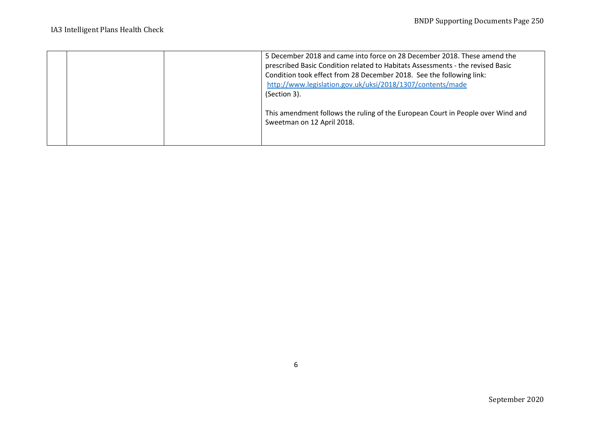|  | 5 December 2018 and came into force on 28 December 2018. These amend the<br>prescribed Basic Condition related to Habitats Assessments - the revised Basic<br>Condition took effect from 28 December 2018. See the following link:<br>http://www.legislation.gov.uk/uksi/2018/1307/contents/made<br>(Section 3). |
|--|------------------------------------------------------------------------------------------------------------------------------------------------------------------------------------------------------------------------------------------------------------------------------------------------------------------|
|  | This amendment follows the ruling of the European Court in People over Wind and<br>Sweetman on 12 April 2018.                                                                                                                                                                                                    |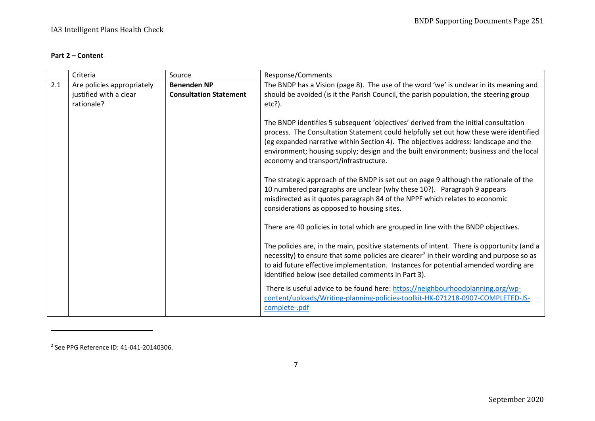## <span id="page-6-0"></span>**Part 2 – Content**

|     | Criteria                                                           | Source                                              | Response/Comments                                                                                                                                                                                                                                                                                                                                                                                     |
|-----|--------------------------------------------------------------------|-----------------------------------------------------|-------------------------------------------------------------------------------------------------------------------------------------------------------------------------------------------------------------------------------------------------------------------------------------------------------------------------------------------------------------------------------------------------------|
| 2.1 | Are policies appropriately<br>justified with a clear<br>rationale? | <b>Benenden NP</b><br><b>Consultation Statement</b> | The BNDP has a Vision (page 8). The use of the word 'we' is unclear in its meaning and<br>should be avoided (is it the Parish Council, the parish population, the steering group<br>$etc?$ ).                                                                                                                                                                                                         |
|     |                                                                    |                                                     | The BNDP identifies 5 subsequent 'objectives' derived from the initial consultation<br>process. The Consultation Statement could helpfully set out how these were identified<br>(eg expanded narrative within Section 4). The objectives address: landscape and the<br>environment; housing supply; design and the built environment; business and the local<br>economy and transport/infrastructure. |
|     |                                                                    |                                                     | The strategic approach of the BNDP is set out on page 9 although the rationale of the<br>10 numbered paragraphs are unclear (why these 10?). Paragraph 9 appears<br>misdirected as it quotes paragraph 84 of the NPPF which relates to economic<br>considerations as opposed to housing sites.                                                                                                        |
|     |                                                                    |                                                     | There are 40 policies in total which are grouped in line with the BNDP objectives.                                                                                                                                                                                                                                                                                                                    |
|     |                                                                    |                                                     | The policies are, in the main, positive statements of intent. There is opportunity (and a<br>necessity) to ensure that some policies are clearer <sup>2</sup> in their wording and purpose so as<br>to aid future effective implementation. Instances for potential amended wording are<br>identified below (see detailed comments in Part 3).                                                        |
|     |                                                                    |                                                     | There is useful advice to be found here: https://neighbourhoodplanning.org/wp-<br>content/uploads/Writing-planning-policies-toolkit-HK-071218-0907-COMPLETED-JS-<br>complete-.pdf                                                                                                                                                                                                                     |

<sup>2</sup> See PPG Reference ID: 41-041-20140306.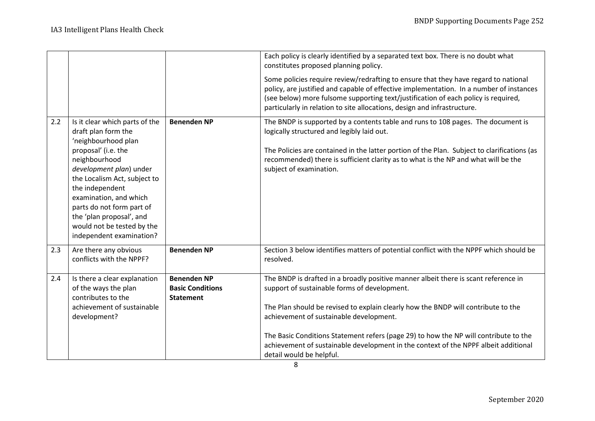|     |                                                                                                                                                                                                                                                                                                                                                 |                                                                   | Each policy is clearly identified by a separated text box. There is no doubt what<br>constitutes proposed planning policy.                                                                                                                                                                                                                                                                                                                                                     |
|-----|-------------------------------------------------------------------------------------------------------------------------------------------------------------------------------------------------------------------------------------------------------------------------------------------------------------------------------------------------|-------------------------------------------------------------------|--------------------------------------------------------------------------------------------------------------------------------------------------------------------------------------------------------------------------------------------------------------------------------------------------------------------------------------------------------------------------------------------------------------------------------------------------------------------------------|
|     |                                                                                                                                                                                                                                                                                                                                                 |                                                                   | Some policies require review/redrafting to ensure that they have regard to national<br>policy, are justified and capable of effective implementation. In a number of instances<br>(see below) more fulsome supporting text/justification of each policy is required,<br>particularly in relation to site allocations, design and infrastructure.                                                                                                                               |
| 2.2 | Is it clear which parts of the<br>draft plan form the<br>'neighbourhood plan<br>proposal' (i.e. the<br>neighbourhood<br>development plan) under<br>the Localism Act, subject to<br>the independent<br>examination, and which<br>parts do not form part of<br>the 'plan proposal', and<br>would not be tested by the<br>independent examination? | <b>Benenden NP</b>                                                | The BNDP is supported by a contents table and runs to 108 pages. The document is<br>logically structured and legibly laid out.<br>The Policies are contained in the latter portion of the Plan. Subject to clarifications (as<br>recommended) there is sufficient clarity as to what is the NP and what will be the<br>subject of examination.                                                                                                                                 |
| 2.3 | Are there any obvious<br>conflicts with the NPPF?                                                                                                                                                                                                                                                                                               | <b>Benenden NP</b>                                                | Section 3 below identifies matters of potential conflict with the NPPF which should be<br>resolved.                                                                                                                                                                                                                                                                                                                                                                            |
| 2.4 | Is there a clear explanation<br>of the ways the plan<br>contributes to the<br>achievement of sustainable<br>development?                                                                                                                                                                                                                        | <b>Benenden NP</b><br><b>Basic Conditions</b><br><b>Statement</b> | The BNDP is drafted in a broadly positive manner albeit there is scant reference in<br>support of sustainable forms of development.<br>The Plan should be revised to explain clearly how the BNDP will contribute to the<br>achievement of sustainable development.<br>The Basic Conditions Statement refers (page 29) to how the NP will contribute to the<br>achievement of sustainable development in the context of the NPPF albeit additional<br>detail would be helpful. |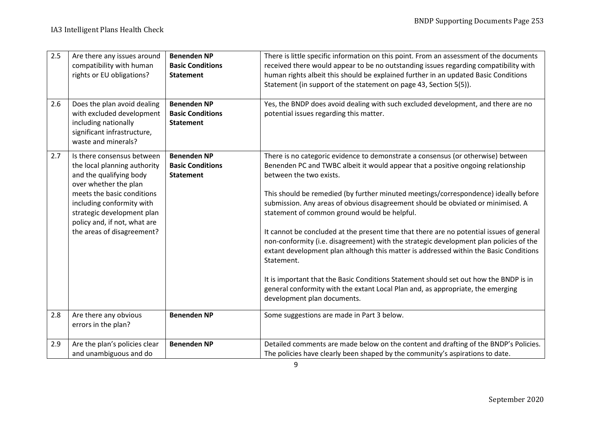| 2.5 | Are there any issues around<br>compatibility with human<br>rights or EU obligations?                                                                                                                                                                                  | <b>Benenden NP</b><br><b>Basic Conditions</b><br><b>Statement</b> | There is little specific information on this point. From an assessment of the documents<br>received there would appear to be no outstanding issues regarding compatibility with<br>human rights albeit this should be explained further in an updated Basic Conditions<br>Statement (in support of the statement on page 43, Section 5(5)).                                                                                                                                                                                                                                                                                                                                                                                                                                                                                                                                                                                        |
|-----|-----------------------------------------------------------------------------------------------------------------------------------------------------------------------------------------------------------------------------------------------------------------------|-------------------------------------------------------------------|------------------------------------------------------------------------------------------------------------------------------------------------------------------------------------------------------------------------------------------------------------------------------------------------------------------------------------------------------------------------------------------------------------------------------------------------------------------------------------------------------------------------------------------------------------------------------------------------------------------------------------------------------------------------------------------------------------------------------------------------------------------------------------------------------------------------------------------------------------------------------------------------------------------------------------|
| 2.6 | Does the plan avoid dealing<br>with excluded development<br>including nationally<br>significant infrastructure,<br>waste and minerals?                                                                                                                                | <b>Benenden NP</b><br><b>Basic Conditions</b><br><b>Statement</b> | Yes, the BNDP does avoid dealing with such excluded development, and there are no<br>potential issues regarding this matter.                                                                                                                                                                                                                                                                                                                                                                                                                                                                                                                                                                                                                                                                                                                                                                                                       |
| 2.7 | Is there consensus between<br>the local planning authority<br>and the qualifying body<br>over whether the plan<br>meets the basic conditions<br>including conformity with<br>strategic development plan<br>policy and, if not, what are<br>the areas of disagreement? | <b>Benenden NP</b><br><b>Basic Conditions</b><br><b>Statement</b> | There is no categoric evidence to demonstrate a consensus (or otherwise) between<br>Benenden PC and TWBC albeit it would appear that a positive ongoing relationship<br>between the two exists.<br>This should be remedied (by further minuted meetings/correspondence) ideally before<br>submission. Any areas of obvious disagreement should be obviated or minimised. A<br>statement of common ground would be helpful.<br>It cannot be concluded at the present time that there are no potential issues of general<br>non-conformity (i.e. disagreement) with the strategic development plan policies of the<br>extant development plan although this matter is addressed within the Basic Conditions<br>Statement.<br>It is important that the Basic Conditions Statement should set out how the BNDP is in<br>general conformity with the extant Local Plan and, as appropriate, the emerging<br>development plan documents. |
| 2.8 | Are there any obvious<br>errors in the plan?                                                                                                                                                                                                                          | <b>Benenden NP</b>                                                | Some suggestions are made in Part 3 below.                                                                                                                                                                                                                                                                                                                                                                                                                                                                                                                                                                                                                                                                                                                                                                                                                                                                                         |
| 2.9 | Are the plan's policies clear<br>and unambiguous and do                                                                                                                                                                                                               | <b>Benenden NP</b>                                                | Detailed comments are made below on the content and drafting of the BNDP's Policies.<br>The policies have clearly been shaped by the community's aspirations to date.                                                                                                                                                                                                                                                                                                                                                                                                                                                                                                                                                                                                                                                                                                                                                              |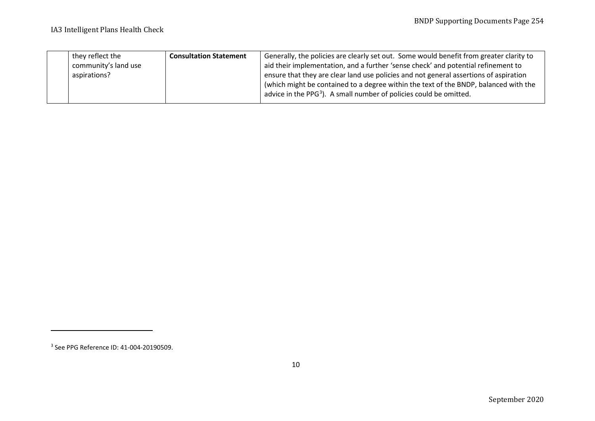<span id="page-9-0"></span>

| they reflect the     | <b>Consultation Statement</b> | Generally, the policies are clearly set out. Some would benefit from greater clarity to |
|----------------------|-------------------------------|-----------------------------------------------------------------------------------------|
| community's land use |                               | aid their implementation, and a further 'sense check' and potential refinement to       |
| aspirations?         |                               | ensure that they are clear land use policies and not general assertions of aspiration   |
|                      |                               | (which might be contained to a degree within the text of the BNDP, balanced with the    |
|                      |                               | advice in the PPG <sup>3</sup> ). A small number of policies could be omitted.          |
|                      |                               |                                                                                         |

<sup>3</sup> See PPG Reference ID: 41-004-20190509.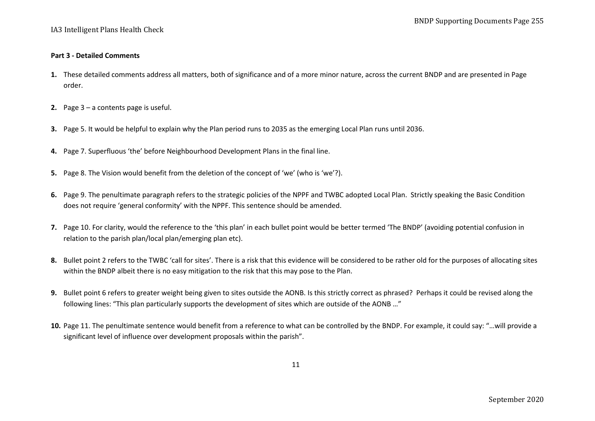#### **Part 3 - Detailed Comments**

- **1.** These detailed comments address all matters, both of significance and of a more minor nature, across the current BNDP and are presented in Page order.
- **2.** Page 3 a contents page is useful.
- **3.** Page 5. It would be helpful to explain why the Plan period runs to 2035 as the emerging Local Plan runs until 2036.
- **4.** Page 7. Superfluous 'the' before Neighbourhood Development Plans in the final line.
- **5.** Page 8. The Vision would benefit from the deletion of the concept of 'we' (who is 'we'?).
- **6.** Page 9. The penultimate paragraph refers to the strategic policies of the NPPF and TWBC adopted Local Plan. Strictly speaking the Basic Condition does not require 'general conformity' with the NPPF. This sentence should be amended.
- **7.** Page 10. For clarity, would the reference to the 'this plan' in each bullet point would be better termed 'The BNDP' (avoiding potential confusion in relation to the parish plan/local plan/emerging plan etc).
- **8.** Bullet point 2 refers to the TWBC 'call for sites'. There is a risk that this evidence will be considered to be rather old for the purposes of allocating sites within the BNDP albeit there is no easy mitigation to the risk that this may pose to the Plan.
- **9.** Bullet point 6 refers to greater weight being given to sites outside the AONB. Is this strictly correct as phrased? Perhaps it could be revised along the following lines: "This plan particularly supports the development of sites which are outside of the AONB …"
- **10.** Page 11. The penultimate sentence would benefit from a reference to what can be controlled by the BNDP. For example, it could say: "…will provide a significant level of influence over development proposals within the parish".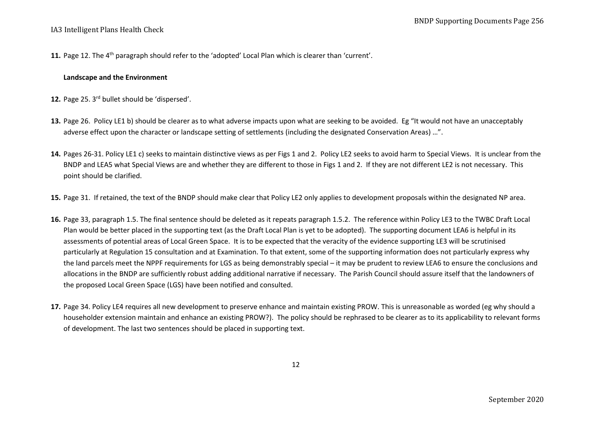**11.** Page 12. The 4th paragraph should refer to the 'adopted' Local Plan which is clearer than 'current'.

#### **Landscape and the Environment**

- 12. Page 25. 3<sup>rd</sup> bullet should be 'dispersed'.
- **13.** Page 26. Policy LE1 b) should be clearer as to what adverse impacts upon what are seeking to be avoided. Eg "It would not have an unacceptably adverse effect upon the character or landscape setting of settlements (including the designated Conservation Areas) …".
- **14.** Pages 26-31. Policy LE1 c) seeks to maintain distinctive views as per Figs 1 and 2. Policy LE2 seeks to avoid harm to Special Views. It is unclear from the BNDP and LEA5 what Special Views are and whether they are different to those in Figs 1 and 2. If they are not different LE2 is not necessary. This point should be clarified.
- **15.** Page 31. If retained, the text of the BNDP should make clear that Policy LE2 only applies to development proposals within the designated NP area.
- **16.** Page 33, paragraph 1.5. The final sentence should be deleted as it repeats paragraph 1.5.2. The reference within Policy LE3 to the TWBC Draft Local Plan would be better placed in the supporting text (as the Draft Local Plan is yet to be adopted). The supporting document LEA6 is helpful in its assessments of potential areas of Local Green Space. It is to be expected that the veracity of the evidence supporting LE3 will be scrutinised particularly at Regulation 15 consultation and at Examination. To that extent, some of the supporting information does not particularly express why the land parcels meet the NPPF requirements for LGS as being demonstrably special – it may be prudent to review LEA6 to ensure the conclusions and allocations in the BNDP are sufficiently robust adding additional narrative if necessary. The Parish Council should assure itself that the landowners of the proposed Local Green Space (LGS) have been notified and consulted.
- **17.** Page 34. Policy LE4 requires all new development to preserve enhance and maintain existing PROW. This is unreasonable as worded (eg why should a householder extension maintain and enhance an existing PROW?). The policy should be rephrased to be clearer as to its applicability to relevant forms of development. The last two sentences should be placed in supporting text.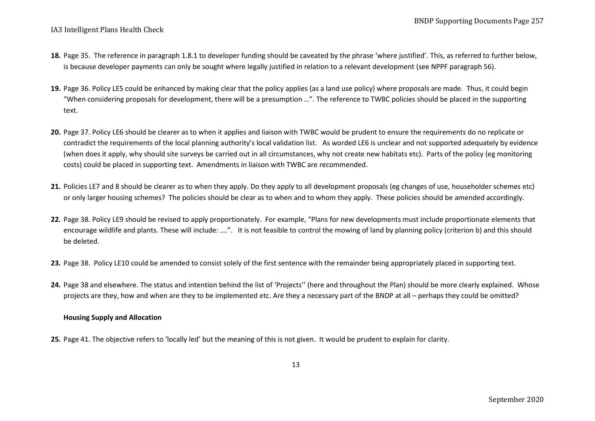- **18.** Page 35. The reference in paragraph 1.8.1 to developer funding should be caveated by the phrase 'where justified'. This, as referred to further below, is because developer payments can only be sought where legally justified in relation to a relevant development (see NPPF paragraph 56).
- **19.** Page 36. Policy LE5 could be enhanced by making clear that the policy applies (as a land use policy) where proposals are made. Thus, it could begin "When considering proposals for development, there will be a presumption …". The reference to TWBC policies should be placed in the supporting text.
- **20.** Page 37. Policy LE6 should be clearer as to when it applies and liaison with TWBC would be prudent to ensure the requirements do no replicate or contradict the requirements of the local planning authority's local validation list. As worded LE6 is unclear and not supported adequately by evidence (when does it apply, why should site surveys be carried out in all circumstances, why not create new habitats etc). Parts of the policy (eg monitoring costs) could be placed in supporting text. Amendments in liaison with TWBC are recommended.
- **21.** Policies LE7 and 8 should be clearer as to when they apply. Do they apply to all development proposals (eg changes of use, householder schemes etc) or only larger housing schemes? The policies should be clear as to when and to whom they apply. These policies should be amended accordingly.
- **22.** Page 38. Policy LE9 should be revised to apply proportionately. For example, "Plans for new developments must include proportionate elements that encourage wildlife and plants. These will include: ….". It is not feasible to control the mowing of land by planning policy (criterion b) and this should be deleted.
- **23.** Page 38. Policy LE10 could be amended to consist solely of the first sentence with the remainder being appropriately placed in supporting text.
- **24.** Page 38 and elsewhere. The status and intention behind the list of 'Projects'' (here and throughout the Plan) should be more clearly explained. Whose projects are they, how and when are they to be implemented etc. Are they a necessary part of the BNDP at all – perhaps they could be omitted?

#### **Housing Supply and Allocation**

**25.** Page 41. The objective refers to 'locally led' but the meaning of this is not given. It would be prudent to explain for clarity.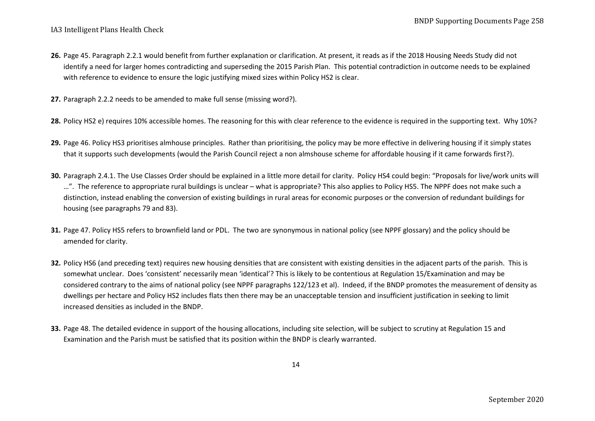- **26.** Page 45. Paragraph 2.2.1 would benefit from further explanation or clarification. At present, it reads as if the 2018 Housing Needs Study did not identify a need for larger homes contradicting and superseding the 2015 Parish Plan. This potential contradiction in outcome needs to be explained with reference to evidence to ensure the logic justifying mixed sizes within Policy HS2 is clear.
- **27.** Paragraph 2.2.2 needs to be amended to make full sense (missing word?).
- **28.** Policy HS2 e) requires 10% accessible homes. The reasoning for this with clear reference to the evidence is required in the supporting text. Why 10%?
- **29.** Page 46. Policy HS3 prioritises almhouse principles. Rather than prioritising, the policy may be more effective in delivering housing if it simply states that it supports such developments (would the Parish Council reject a non almshouse scheme for affordable housing if it came forwards first?).
- **30.** Paragraph 2.4.1. The Use Classes Order should be explained in a little more detail for clarity. Policy HS4 could begin: "Proposals for live/work units will …". The reference to appropriate rural buildings is unclear – what is appropriate? This also applies to Policy HS5. The NPPF does not make such a distinction, instead enabling the conversion of existing buildings in rural areas for economic purposes or the conversion of redundant buildings for housing (see paragraphs 79 and 83).
- **31.** Page 47. Policy HS5 refers to brownfield land or PDL. The two are synonymous in national policy (see NPPF glossary) and the policy should be amended for clarity.
- **32.** Policy HS6 (and preceding text) requires new housing densities that are consistent with existing densities in the adjacent parts of the parish. This is somewhat unclear. Does 'consistent' necessarily mean 'identical'? This is likely to be contentious at Regulation 15/Examination and may be considered contrary to the aims of national policy (see NPPF paragraphs 122/123 et al). Indeed, if the BNDP promotes the measurement of density as dwellings per hectare and Policy HS2 includes flats then there may be an unacceptable tension and insufficient justification in seeking to limit increased densities as included in the BNDP.
- **33.** Page 48. The detailed evidence in support of the housing allocations, including site selection, will be subject to scrutiny at Regulation 15 and Examination and the Parish must be satisfied that its position within the BNDP is clearly warranted.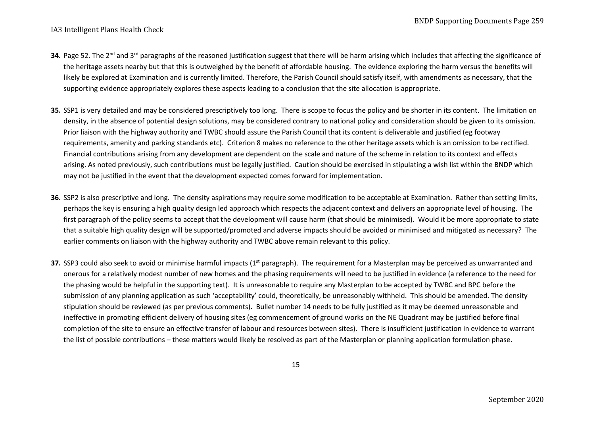- **34.** Page 52. The 2<sup>nd</sup> and 3<sup>rd</sup> paragraphs of the reasoned justification suggest that there will be harm arising which includes that affecting the significance of the heritage assets nearby but that this is outweighed by the benefit of affordable housing. The evidence exploring the harm versus the benefits will likely be explored at Examination and is currently limited. Therefore, the Parish Council should satisfy itself, with amendments as necessary, that the supporting evidence appropriately explores these aspects leading to a conclusion that the site allocation is appropriate.
- **35.** SSP1 is very detailed and may be considered prescriptively too long. There is scope to focus the policy and be shorter in its content. The limitation on density, in the absence of potential design solutions, may be considered contrary to national policy and consideration should be given to its omission. Prior liaison with the highway authority and TWBC should assure the Parish Council that its content is deliverable and justified (eg footway requirements, amenity and parking standards etc). Criterion 8 makes no reference to the other heritage assets which is an omission to be rectified. Financial contributions arising from any development are dependent on the scale and nature of the scheme in relation to its context and effects arising. As noted previously, such contributions must be legally justified. Caution should be exercised in stipulating a wish list within the BNDP which may not be justified in the event that the development expected comes forward for implementation.
- **36.** SSP2 is also prescriptive and long. The density aspirations may require some modification to be acceptable at Examination. Rather than setting limits, perhaps the key is ensuring a high quality design led approach which respects the adjacent context and delivers an appropriate level of housing. The first paragraph of the policy seems to accept that the development will cause harm (that should be minimised). Would it be more appropriate to state that a suitable high quality design will be supported/promoted and adverse impacts should be avoided or minimised and mitigated as necessary? The earlier comments on liaison with the highway authority and TWBC above remain relevant to this policy.
- **37.** SSP3 could also seek to avoid or minimise harmful impacts (1<sup>st</sup> paragraph). The requirement for a Masterplan may be perceived as unwarranted and onerous for a relatively modest number of new homes and the phasing requirements will need to be justified in evidence (a reference to the need for the phasing would be helpful in the supporting text). It is unreasonable to require any Masterplan to be accepted by TWBC and BPC before the submission of any planning application as such 'acceptability' could, theoretically, be unreasonably withheld. This should be amended. The density stipulation should be reviewed (as per previous comments). Bullet number 14 needs to be fully justified as it may be deemed unreasonable and ineffective in promoting efficient delivery of housing sites (eg commencement of ground works on the NE Quadrant may be justified before final completion of the site to ensure an effective transfer of labour and resources between sites). There is insufficient justification in evidence to warrant the list of possible contributions – these matters would likely be resolved as part of the Masterplan or planning application formulation phase.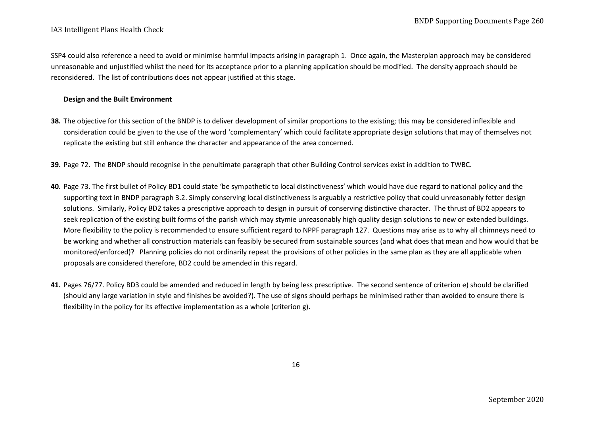SSP4 could also reference a need to avoid or minimise harmful impacts arising in paragraph 1. Once again, the Masterplan approach may be considered unreasonable and unjustified whilst the need for its acceptance prior to a planning application should be modified. The density approach should be reconsidered. The list of contributions does not appear justified at this stage.

#### **Design and the Built Environment**

- **38.** The objective for this section of the BNDP is to deliver development of similar proportions to the existing; this may be considered inflexible and consideration could be given to the use of the word 'complementary' which could facilitate appropriate design solutions that may of themselves not replicate the existing but still enhance the character and appearance of the area concerned.
- **39.** Page 72. The BNDP should recognise in the penultimate paragraph that other Building Control services exist in addition to TWBC.
- **40.** Page 73. The first bullet of Policy BD1 could state 'be sympathetic to local distinctiveness' which would have due regard to national policy and the supporting text in BNDP paragraph 3.2. Simply conserving local distinctiveness is arguably a restrictive policy that could unreasonably fetter design solutions. Similarly, Policy BD2 takes a prescriptive approach to design in pursuit of conserving distinctive character. The thrust of BD2 appears to seek replication of the existing built forms of the parish which may stymie unreasonably high quality design solutions to new or extended buildings. More flexibility to the policy is recommended to ensure sufficient regard to NPPF paragraph 127. Questions may arise as to why all chimneys need to be working and whether all construction materials can feasibly be secured from sustainable sources (and what does that mean and how would that be monitored/enforced)? Planning policies do not ordinarily repeat the provisions of other policies in the same plan as they are all applicable when proposals are considered therefore, BD2 could be amended in this regard.
- **41.** Pages 76/77. Policy BD3 could be amended and reduced in length by being less prescriptive. The second sentence of criterion e) should be clarified (should any large variation in style and finishes be avoided?). The use of signs should perhaps be minimised rather than avoided to ensure there is flexibility in the policy for its effective implementation as a whole (criterion g).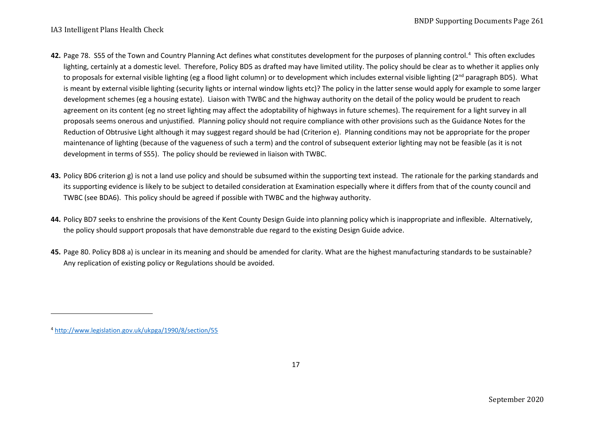- <span id="page-16-0"></span>[4](#page-16-0)2. Page 78. S55 of the Town and Country Planning Act defines what constitutes development for the purposes of planning control.<sup>4</sup> This often excludes lighting, certainly at a domestic level. Therefore, Policy BD5 as drafted may have limited utility. The policy should be clear as to whether it applies only to proposals for external visible lighting (eg a flood light column) or to development which includes external visible lighting (2<sup>nd</sup> paragraph BD5). What is meant by external visible lighting (security lights or internal window lights etc)? The policy in the latter sense would apply for example to some larger development schemes (eg a housing estate). Liaison with TWBC and the highway authority on the detail of the policy would be prudent to reach agreement on its content (eg no street lighting may affect the adoptability of highways in future schemes). The requirement for a light survey in all proposals seems onerous and unjustified. Planning policy should not require compliance with other provisions such as the Guidance Notes for the Reduction of Obtrusive Light although it may suggest regard should be had (Criterion e). Planning conditions may not be appropriate for the proper maintenance of lighting (because of the vagueness of such a term) and the control of subsequent exterior lighting may not be feasible (as it is not development in terms of S55). The policy should be reviewed in liaison with TWBC.
- **43.** Policy BD6 criterion g) is not a land use policy and should be subsumed within the supporting text instead. The rationale for the parking standards and its supporting evidence is likely to be subject to detailed consideration at Examination especially where it differs from that of the county council and TWBC (see BDA6). This policy should be agreed if possible with TWBC and the highway authority.
- **44.** Policy BD7 seeks to enshrine the provisions of the Kent County Design Guide into planning policy which is inappropriate and inflexible. Alternatively, the policy should support proposals that have demonstrable due regard to the existing Design Guide advice.
- **45.** Page 80. Policy BD8 a) is unclear in its meaning and should be amended for clarity. What are the highest manufacturing standards to be sustainable? Any replication of existing policy or Regulations should be avoided.

<sup>4</sup> <http://www.legislation.gov.uk/ukpga/1990/8/section/55>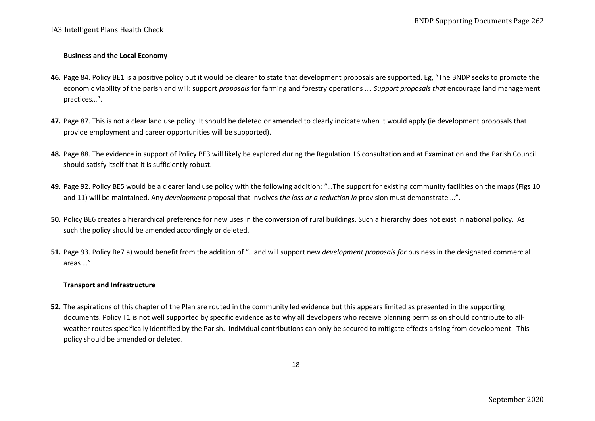## **Business and the Local Economy**

- **46.** Page 84. Policy BE1 is a positive policy but it would be clearer to state that development proposals are supported. Eg, "The BNDP seeks to promote the economic viability of the parish and will: support *proposals* for farming and forestry operations …. *Support proposals that* encourage land management practices…".
- **47.** Page 87. This is not a clear land use policy. It should be deleted or amended to clearly indicate when it would apply (ie development proposals that provide employment and career opportunities will be supported).
- **48.** Page 88. The evidence in support of Policy BE3 will likely be explored during the Regulation 16 consultation and at Examination and the Parish Council should satisfy itself that it is sufficiently robust.
- **49.** Page 92. Policy BE5 would be a clearer land use policy with the following addition: "…The support for existing community facilities on the maps (Figs 10 and 11) will be maintained. Any *development* proposal that involves *the loss or a reduction in* provision must demonstrate …".
- **50.** Policy BE6 creates a hierarchical preference for new uses in the conversion of rural buildings. Such a hierarchy does not exist in national policy. As such the policy should be amended accordingly or deleted.
- **51.** Page 93. Policy Be7 a) would benefit from the addition of "…and will support new *development proposals for* business in the designated commercial areas …".

## **Transport and Infrastructure**

**52.** The aspirations of this chapter of the Plan are routed in the community led evidence but this appears limited as presented in the supporting documents. Policy T1 is not well supported by specific evidence as to why all developers who receive planning permission should contribute to allweather routes specifically identified by the Parish. Individual contributions can only be secured to mitigate effects arising from development. This policy should be amended or deleted.